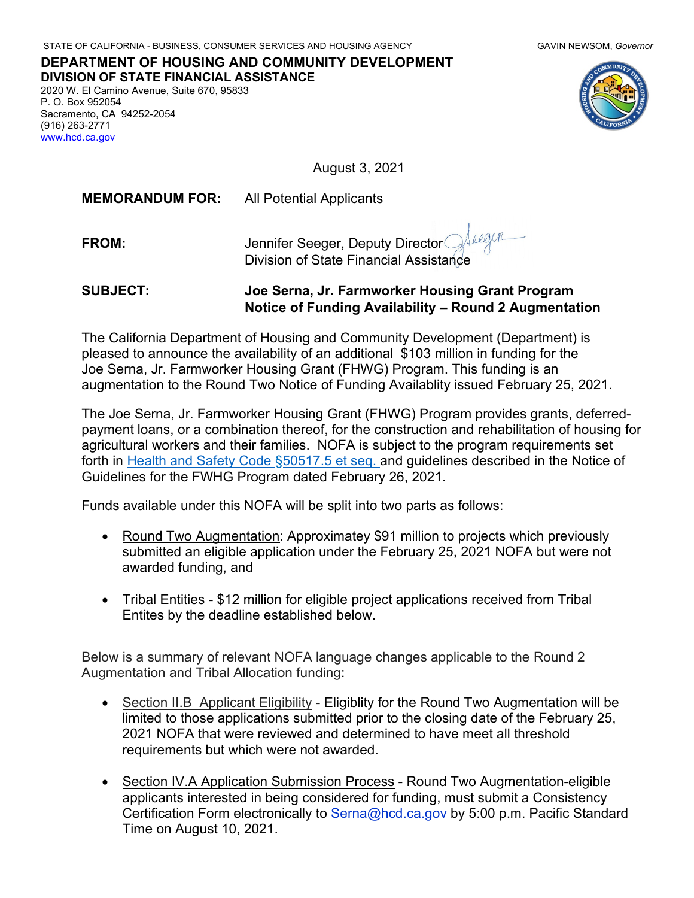#### **DEPARTMENT OF HOUSING AND COMMUNITY DEVELOPMENT DIVISION OF STATE FINANCIAL ASSISTANCE** 2020 W. El Camino Avenue, Suite 670, 95833 P. O. Box 952054 Sacramento, CA 94252-2054 (916) 263-2771 [www.hcd.ca.gov](http://www.hcd.ca.gov/)



August 3, 2021

**MEMORANDUM FOR:** All Potential Applicants

Seegur **FROM:** Jennifer Seeger, Deputy Director Division of State Financial Assistance

**SUBJECT: Joe Serna, Jr. Farmworker Housing Grant Program Notice of Funding Availability – Round 2 Augmentation**

The California Department of Housing and Community Development (Department) is pleased to announce the availability of an additional \$103 million in funding for the Joe Serna, Jr. Farmworker Housing Grant (FHWG) Program. This funding is an augmentation to the Round Two Notice of Funding Availablity issued February 25, 2021.

The Joe Serna, Jr. Farmworker Housing Grant (FHWG) Program provides grants, deferredpayment loans, or a combination thereof, for the construction and rehabilitation of housing for agricultural workers and their families. NOFA is subject to the program requirements set forth in [Health and Safety Code](https://leginfo.legislature.ca.gov/faces/codes_displayText.xhtml?lawCode=HSC&division=31.&title=&part=2.&chapter=3.2.&article=) §50517.5 et seq. and guidelines described in the Notice of Guidelines for the FWHG Program dated February 26, 2021.

Funds available under this NOFA will be split into two parts as follows:

- Round Two Augmentation: Approximatey \$91 million to projects which previously submitted an eligible application under the February 25, 2021 NOFA but were not awarded funding, and
- Tribal Entities \$12 million for eligible project applications received from Tribal Entites by the deadline established below.

Below is a summary of relevant NOFA language changes applicable to the Round 2 Augmentation and Tribal Allocation funding:

- Section II.B Applicant Eligibility Eligiblity for the Round Two Augmentation will be limited to those applications submitted prior to the closing date of the February 25, 2021 NOFA that were reviewed and determined to have meet all threshold requirements but which were not awarded.
- Section IV.A Application Submission Process Round Two Augmentation-eligible applicants interested in being considered for funding, must submit a Consistency Certification Form electronically to [Serna@hcd.ca.gov](mailto:Serna@hcd.ca.gov) by 5:00 p.m. Pacific Standard Time on August 10, 2021.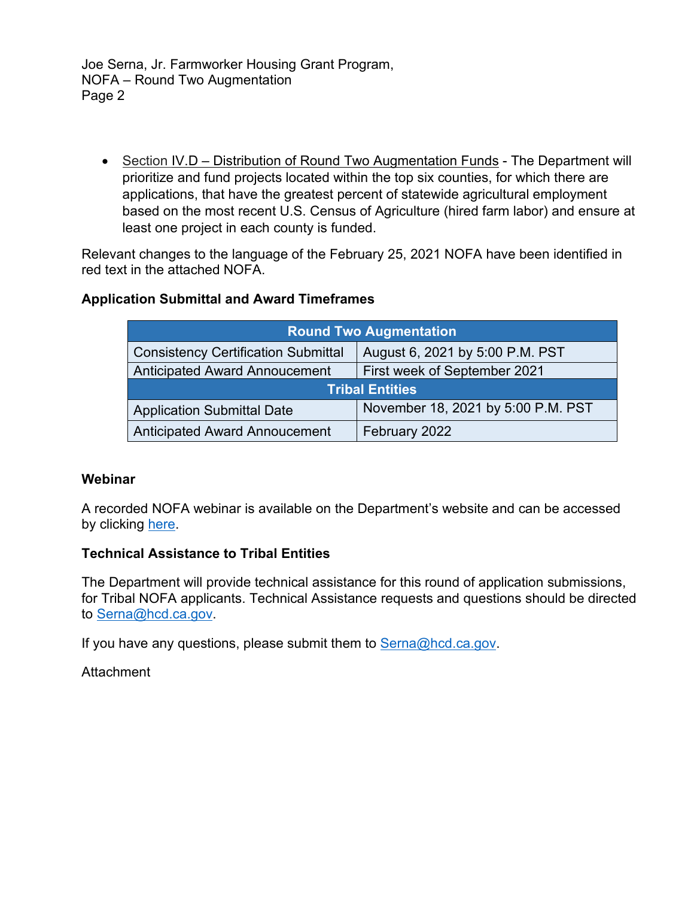Joe Serna, Jr. Farmworker Housing Grant Program, NOFA – Round Two Augmentation Page 2

• Section IV.D - Distribution of Round Two Augmentation Funds - The Department will prioritize and fund projects located within the top six counties, for which there are applications, that have the greatest percent of statewide agricultural employment based on the most recent U.S. Census of Agriculture (hired farm labor) and ensure at least one project in each county is funded.

Relevant changes to the language of the February 25, 2021 NOFA have been identified in red text in the attached NOFA.

# **Application Submittal and Award Timeframes**

| <b>Round Two Augmentation</b>              |                                    |  |  |  |
|--------------------------------------------|------------------------------------|--|--|--|
| <b>Consistency Certification Submittal</b> | August 6, 2021 by 5:00 P.M. PST    |  |  |  |
| Anticipated Award Annoucement              | First week of September 2021       |  |  |  |
| <b>Tribal Entities</b>                     |                                    |  |  |  |
| <b>Application Submittal Date</b>          | November 18, 2021 by 5:00 P.M. PST |  |  |  |
| <b>Anticipated Award Annoucement</b>       | February 2022                      |  |  |  |

#### **Webinar**

A recorded NOFA webinar is available on the Department's website and can be accessed by clicking [here.](https://www.youtube.com/watch?v=P6IeKgERDCc)

#### **Technical Assistance to Tribal Entities**

The Department will provide technical assistance for this round of application submissions, for Tribal NOFA applicants. Technical Assistance requests and questions should be directed to [Serna@hcd.ca.gov.](mailto:Serna@hcd.ca.gov)

If you have any questions, please submit them to  $\text{Serna}(\omega)$  hcd.ca.gov.

**Attachment**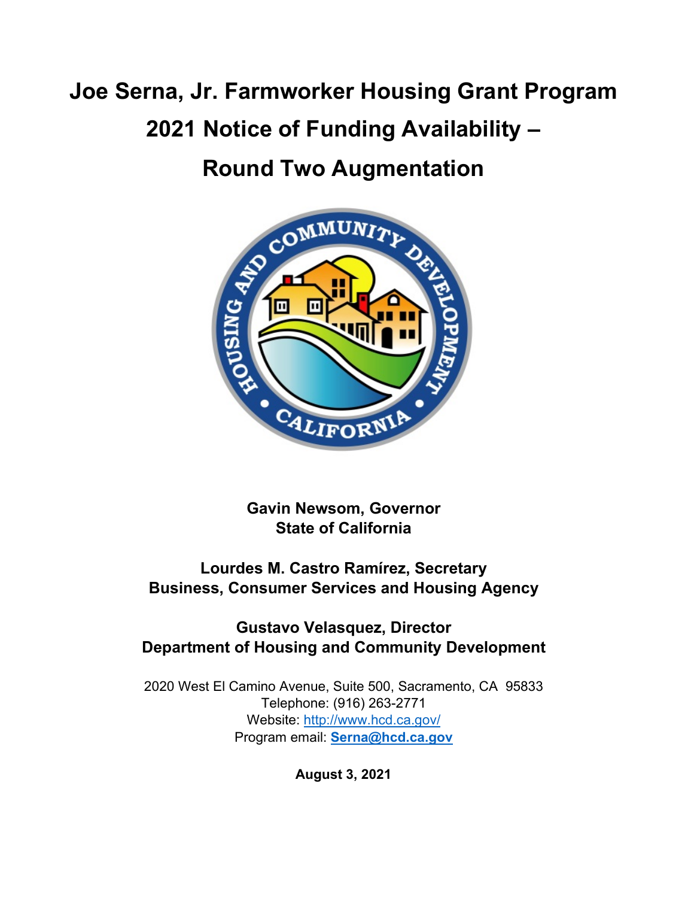# **Joe Serna, Jr. Farmworker Housing Grant Program 2021 Notice of Funding Availability –**

# **Round Two Augmentation**



**Gavin Newsom, Governor State of California**

**Lourdes M. Castro Ramírez, Secretary Business, Consumer Services and Housing Agency**

# **Gustavo Velasquez, Director Department of Housing and Community Development**

2020 West El Camino Avenue, Suite 500, Sacramento, CA 95833 Telephone: (916) 263-2771 Website: <http://www.hcd.ca.gov/> Program email: **[Serna@hcd.ca.gov](mailto:Serna@hcd.ca.gov)**

**August 3, 2021**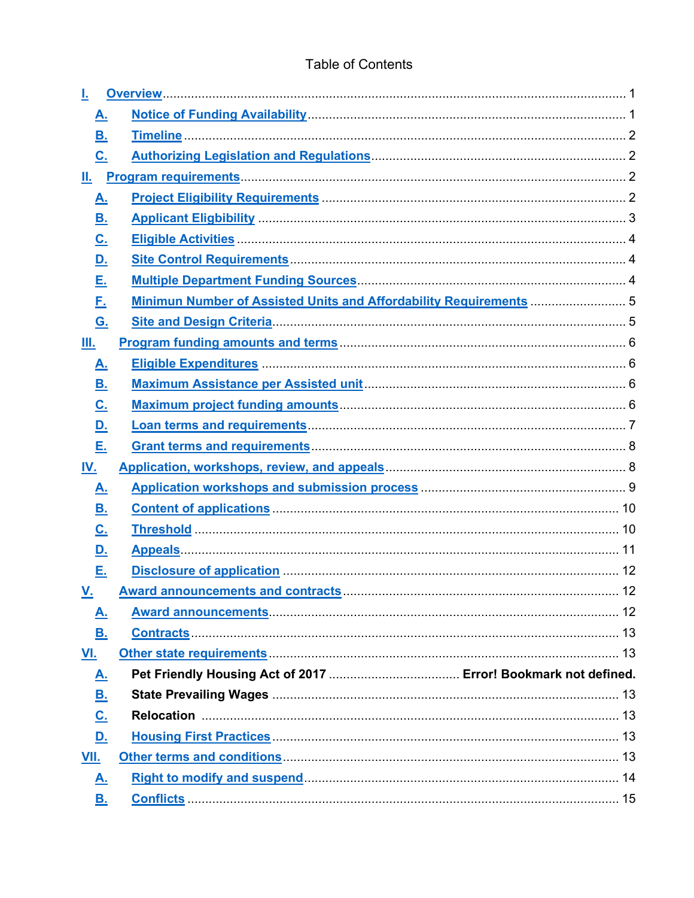| <u>A.</u>                  |                                                                                               |  |
|----------------------------|-----------------------------------------------------------------------------------------------|--|
| <u>B.</u>                  |                                                                                               |  |
| $\underline{\mathbf{C}}$ . |                                                                                               |  |
| Ш.                         |                                                                                               |  |
| <u>A.</u>                  |                                                                                               |  |
| <u>B.</u>                  |                                                                                               |  |
| <u>C.</u>                  |                                                                                               |  |
| <u>D.</u>                  |                                                                                               |  |
| <u>Е.</u>                  |                                                                                               |  |
| <u>F.</u>                  | Minimun Number of Assisted Units and Affordability Requirements  5                            |  |
| <u>G.</u>                  |                                                                                               |  |
| Ш.                         |                                                                                               |  |
| <u>A.</u>                  |                                                                                               |  |
| <u>B.</u>                  |                                                                                               |  |
| <u>C.</u>                  |                                                                                               |  |
| <u>D.</u>                  |                                                                                               |  |
| Е.                         |                                                                                               |  |
| <u>IV.</u>                 |                                                                                               |  |
| <u>A.</u>                  |                                                                                               |  |
| <u>B.</u>                  |                                                                                               |  |
| <u>C.</u>                  |                                                                                               |  |
| <u>D.</u>                  |                                                                                               |  |
| Е.                         |                                                                                               |  |
| <u>V.</u>                  |                                                                                               |  |
| <u>A.</u>                  |                                                                                               |  |
| В.                         |                                                                                               |  |
| VI.                        |                                                                                               |  |
| <u>A.</u>                  |                                                                                               |  |
| <u>B.</u>                  |                                                                                               |  |
| <u>C.</u>                  |                                                                                               |  |
| <u>D.</u>                  |                                                                                               |  |
| VII.                       |                                                                                               |  |
| <u>A.</u>                  | Right to modify and suspend <b>Manufact 14</b> Right to modify and suspend <b>Manufact 14</b> |  |
| В.                         |                                                                                               |  |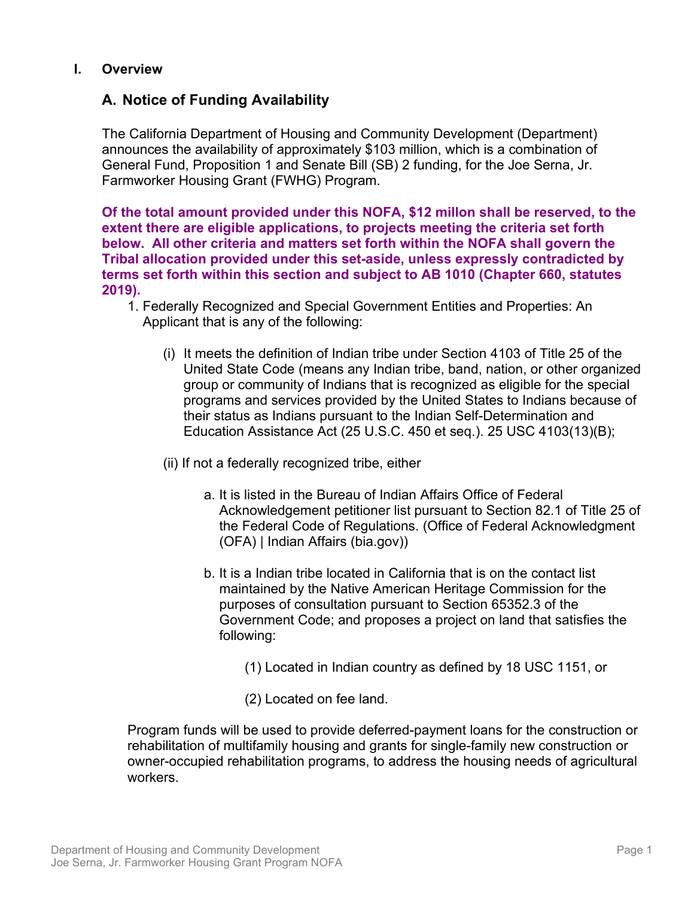# <span id="page-4-0"></span>**I. Overview**

# <span id="page-4-1"></span>**A. Notice of Funding Availability**

The California Department of Housing and Community Development (Department) announces the availability of approximately \$103 million, which is a combination of General Fund, Proposition 1 and Senate Bill (SB) 2 funding, for the Joe Serna, Jr. Farmworker Housing Grant (FWHG) Program.

**Of the total amount provided under this NOFA, \$12 millon shall be reserved, to the extent there are eligible applications, to projects meeting the criteria set forth below. All other criteria and matters set forth within the NOFA shall govern the Tribal allocation provided under this set-aside, unless expressly contradicted by terms set forth within this section and subject to AB 1010 (Chapter 660, statutes 2019).**

- 1. Federally Recognized and Special Government Entities and Properties: An Applicant that is any of the following:
	- (i) It meets the definition of Indian tribe under Section 4103 of Title 25 of the United State Code (means any Indian tribe, band, nation, or other organized group or community of Indians that is recognized as eligible for the special programs and services provided by the United States to Indians because of their status as Indians pursuant to the Indian Self-Determination and Education Assistance Act (25 U.S.C. 450 et seq.). 25 USC 4103(13)(B);
	- (ii) If not a federally recognized tribe, either
		- a. It is listed in the Bureau of Indian Affairs Office of Federal Acknowledgement petitioner list pursuant to Section 82.1 of Title 25 of the Federal Code of Regulations. (Office of Federal Acknowledgment (OFA) | Indian Affairs (bia.gov))
		- b. It is a Indian tribe located in California that is on the contact list maintained by the Native American Heritage Commission for the purposes of consultation pursuant to Section 65352.3 of the Government Code; and proposes a project on land that satisfies the following:
			- (1) Located in Indian country as defined by 18 USC 1151, or
			- (2) Located on fee land.

Program funds will be used to provide deferred-payment loans for the construction or rehabilitation of multifamily housing and grants for single-family new construction or owner-occupied rehabilitation programs, to address the housing needs of agricultural workers.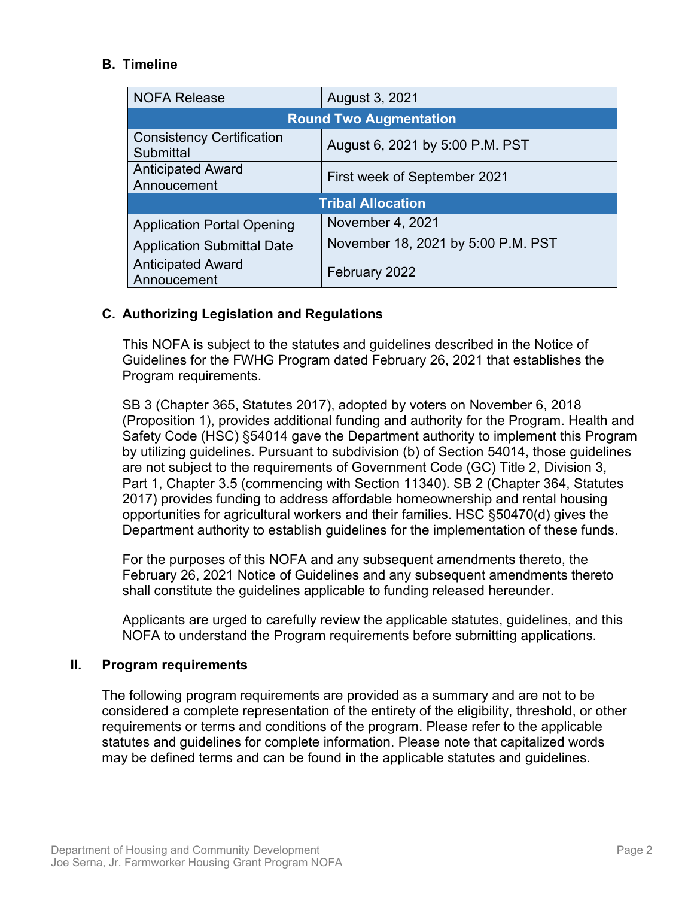# <span id="page-5-0"></span>**B. Timeline**

| <b>NOFA Release</b>                                  | August 3, 2021                     |  |  |  |
|------------------------------------------------------|------------------------------------|--|--|--|
| <b>Round Two Augmentation</b>                        |                                    |  |  |  |
| <b>Consistency Certification</b><br><b>Submittal</b> | August 6, 2021 by 5:00 P.M. PST    |  |  |  |
| <b>Anticipated Award</b><br>Annoucement              | First week of September 2021       |  |  |  |
| <b>Tribal Allocation</b>                             |                                    |  |  |  |
| <b>Application Portal Opening</b>                    | November 4, 2021                   |  |  |  |
| <b>Application Submittal Date</b>                    | November 18, 2021 by 5:00 P.M. PST |  |  |  |
| <b>Anticipated Award</b><br>Annoucement              | February 2022                      |  |  |  |

# <span id="page-5-1"></span>**C. Authorizing Legislation and Regulations**

This NOFA is subject to the statutes and guidelines described in the Notice of Guidelines for the FWHG Program dated February 26, 2021 that establishes the Program requirements.

SB 3 (Chapter 365, Statutes 2017), adopted by voters on November 6, 2018 (Proposition 1), provides additional funding and authority for the Program. Health and Safety Code (HSC) §54014 gave the Department authority to implement this Program by utilizing guidelines. Pursuant to subdivision (b) of Section 54014, those guidelines are not subject to the requirements of Government Code (GC) Title 2, Division 3, Part 1, Chapter 3.5 (commencing with Section 11340). SB 2 (Chapter 364, Statutes 2017) provides funding to address affordable homeownership and rental housing opportunities for agricultural workers and their families. HSC §50470(d) gives the Department authority to establish guidelines for the implementation of these funds.

For the purposes of this NOFA and any subsequent amendments thereto, the February 26, 2021 Notice of Guidelines and any subsequent amendments thereto shall constitute the guidelines applicable to funding released hereunder.

Applicants are urged to carefully review the applicable statutes, guidelines, and this NOFA to understand the Program requirements before submitting applications.

#### <span id="page-5-2"></span>**II. Program requirements**

The following program requirements are provided as a summary and are not to be considered a complete representation of the entirety of the eligibility, threshold, or other requirements or terms and conditions of the program. Please refer to the applicable statutes and guidelines for complete information. Please note that capitalized words may be defined terms and can be found in the applicable statutes and guidelines.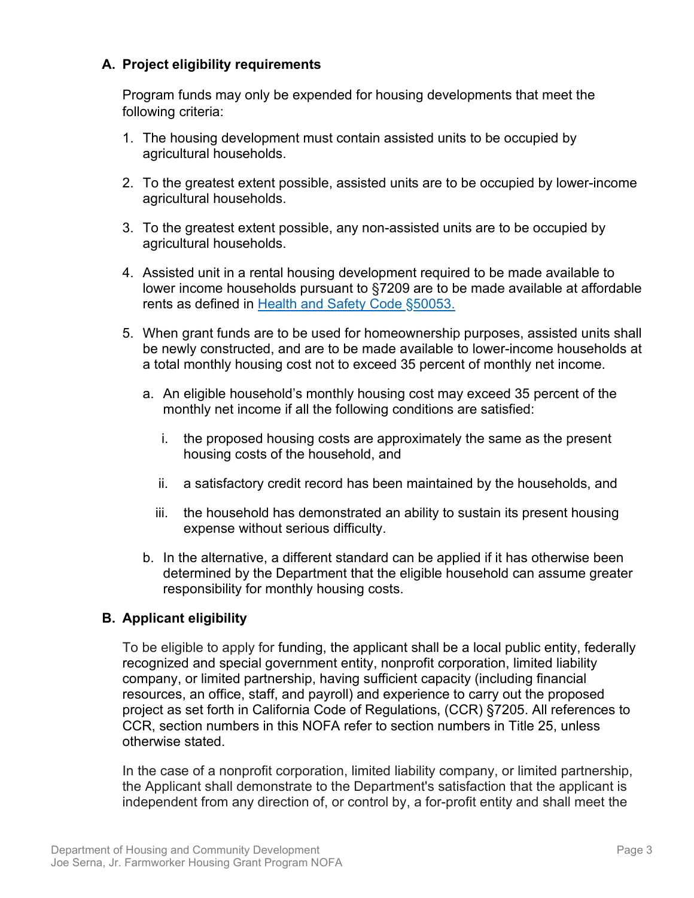# **A. Project eligibility requirements**

Program funds may only be expended for housing developments that meet the following criteria:

- 1. The housing development must contain assisted units to be occupied by agricultural households.
- 2. To the greatest extent possible, assisted units are to be occupied by lower-income agricultural households.
- 3. To the greatest extent possible, any non-assisted units are to be occupied by agricultural households.
- 4. Assisted unit in a rental housing development required to be made available to lower income households pursuant to §7209 are to be made available at affordable rents as defined in [Health and Safety Code](http://leginfo.legislature.ca.gov/faces/codes_displaySection.xhtml?sectionNum=50053&lawCode=HSC) §50053.
- 5. When grant funds are to be used for homeownership purposes, assisted units shall be newly constructed, and are to be made available to lower-income households at a total monthly housing cost not to exceed 35 percent of monthly net income.
	- a. An eligible household's monthly housing cost may exceed 35 percent of the monthly net income if all the following conditions are satisfied:
		- i. the proposed housing costs are approximately the same as the present housing costs of the household, and
		- ii. a satisfactory credit record has been maintained by the households, and
		- iii. the household has demonstrated an ability to sustain its present housing expense without serious difficulty.
	- b. In the alternative, a different standard can be applied if it has otherwise been determined by the Department that the eligible household can assume greater responsibility for monthly housing costs.

# <span id="page-6-0"></span>**B. Applicant eligibility**

To be eligible to apply for funding, the applicant shall be a local public entity, federally recognized and special government entity, nonprofit corporation, limited liability company, or limited partnership, having sufficient capacity (including financial resources, an office, staff, and payroll) and experience to carry out the proposed project as set forth in California Code of Regulations, (CCR) §7205. All references to CCR, section numbers in this NOFA refer to section numbers in Title 25, unless otherwise stated.

In the case of a nonprofit corporation, limited liability company, or limited partnership, the Applicant shall demonstrate to the Department's satisfaction that the applicant is independent from any direction of, or control by, a for-profit entity and shall meet the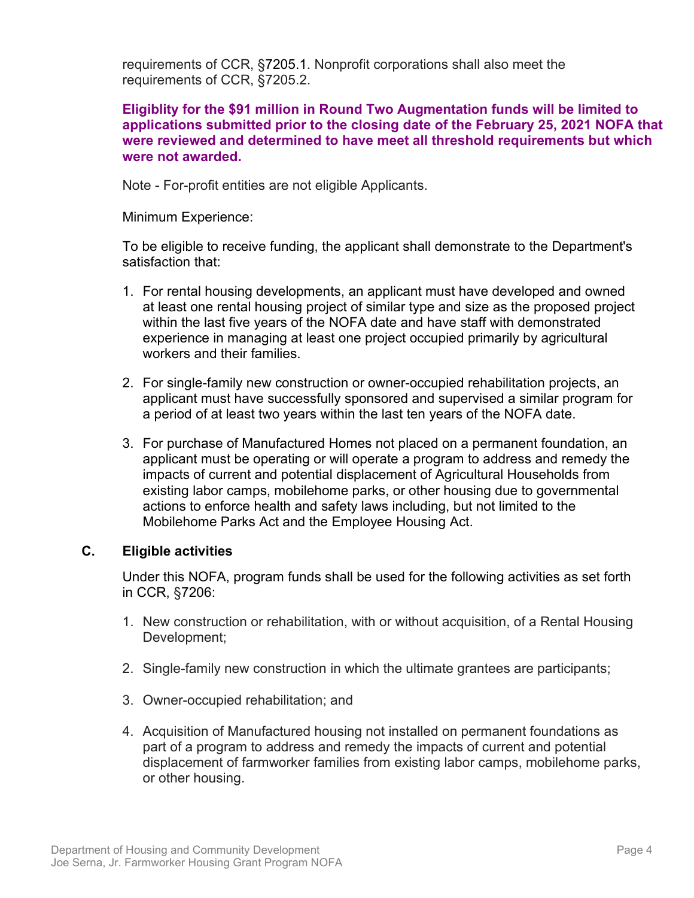requirements of CCR, §7205.1. Nonprofit corporations shall also meet the requirements of CCR, §7205.2.

#### **Eligiblity for the \$91 million in Round Two Augmentation funds will be limited to tapplications hose submitted prior to the closing date of the February 25, 2021 NOFA that were reviewed and determined to have meet all threshold requirements but which were not awarded.**

Note - For-profit entities are not eligible Applicants.

Minimum Experience:

To be eligible to receive funding, the applicant shall demonstrate to the Department's satisfaction that:

- 1. For rental housing developments, an applicant must have developed and owned at least one rental housing project of similar type and size as the proposed project within the last five years of the NOFA date and have staff with demonstrated experience in managing at least one project occupied primarily by agricultural workers and their families.
- 2. For single-family new construction or owner-occupied rehabilitation projects, an applicant must have successfully sponsored and supervised a similar program for a period of at least two years within the last ten years of the NOFA date.
- 3. For purchase of Manufactured Homes not placed on a permanent foundation, an applicant must be operating or will operate a program to address and remedy the impacts of current and potential displacement of Agricultural Households from existing labor camps, mobilehome parks, or other housing due to governmental actions to enforce health and safety laws including, but not limited to the Mobilehome Parks Act and the Employee Housing Act.

# <span id="page-7-0"></span>**C. Eligible activities**

Under this NOFA, program funds shall be used for the following activities as set forth in CCR, §7206:

- 1. New construction or rehabilitation, with or without acquisition, of a Rental Housing Development;
- 2. Single-family new construction in which the ultimate grantees are participants;
- 3. Owner-occupied rehabilitation; and
- 4. Acquisition of Manufactured housing not installed on permanent foundations as part of a program to address and remedy the impacts of current and potential displacement of farmworker families from existing labor camps, mobilehome parks, or other housing.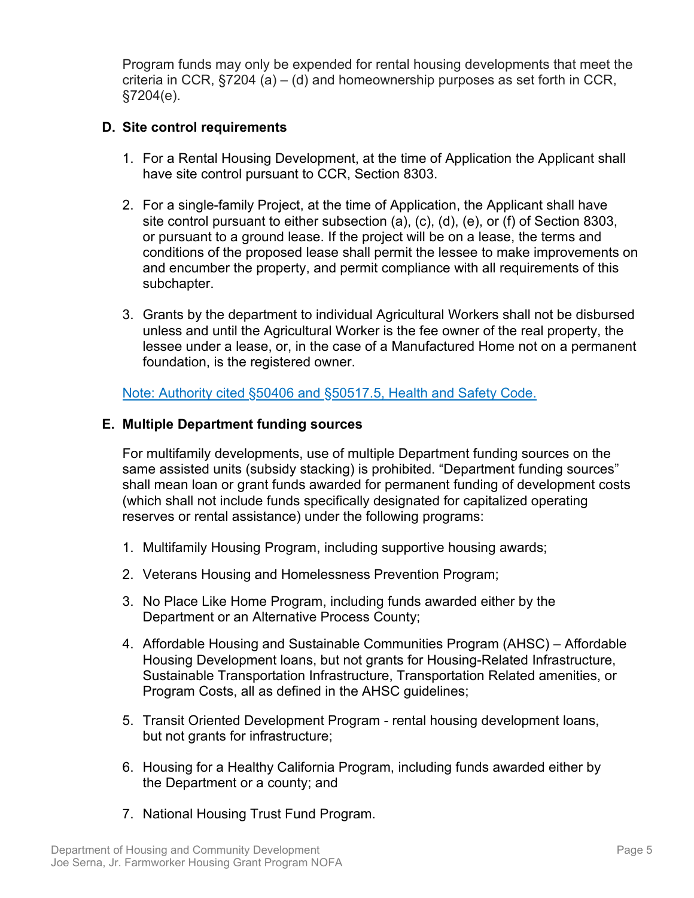Program funds may only be expended for rental housing developments that meet the criteria in CCR,  $\S 7204$  (a) – (d) and homeownership purposes as set forth in CCR, §7204(e).

#### **D. Site control requirements**

- 1. For a Rental Housing Development, at the time of Application the Applicant shall have site control pursuant to CCR, Section 8303.
- 2. For a single-family Project, at the time of Application, the Applicant shall have site control pursuant to either subsection (a), (c), (d), (e), or (f) of Section 8303, or pursuant to a ground lease. If the project will be on a lease, the terms and conditions of the proposed lease shall permit the lessee to make improvements on and encumber the property, and permit compliance with all requirements of this subchapter.
- 3. Grants by the department to individual Agricultural Workers shall not be disbursed unless and until the Agricultural Worker is the fee owner of the real property, the lessee under a lease, or, in the case of a Manufactured Home not on a permanent foundation, is the registered owner.

Note: Authority cited [§50406 and §50517.5, Health and Safety Code.](http://leginfo.legislature.ca.gov/faces/home.xhtml)

#### **E. Multiple Department funding sources**

For multifamily developments, use of multiple Department funding sources on the same assisted units (subsidy stacking) is prohibited. "Department funding sources" shall mean loan or grant funds awarded for permanent funding of development costs (which shall not include funds specifically designated for capitalized operating reserves or rental assistance) under the following programs:

- 1. Multifamily Housing Program, including supportive housing awards;
- 2. Veterans Housing and Homelessness Prevention Program;
- 3. No Place Like Home Program, including funds awarded either by the Department or an Alternative Process County;
- 4. Affordable Housing and Sustainable Communities Program (AHSC) Affordable Housing Development loans, but not grants for Housing-Related Infrastructure, Sustainable Transportation Infrastructure, Transportation Related amenities, or Program Costs, all as defined in the AHSC guidelines;
- 5. Transit Oriented Development Program rental housing development loans, but not grants for infrastructure;
- 6. Housing for a Healthy California Program, including funds awarded either by the Department or a county; and
- 7. National Housing Trust Fund Program.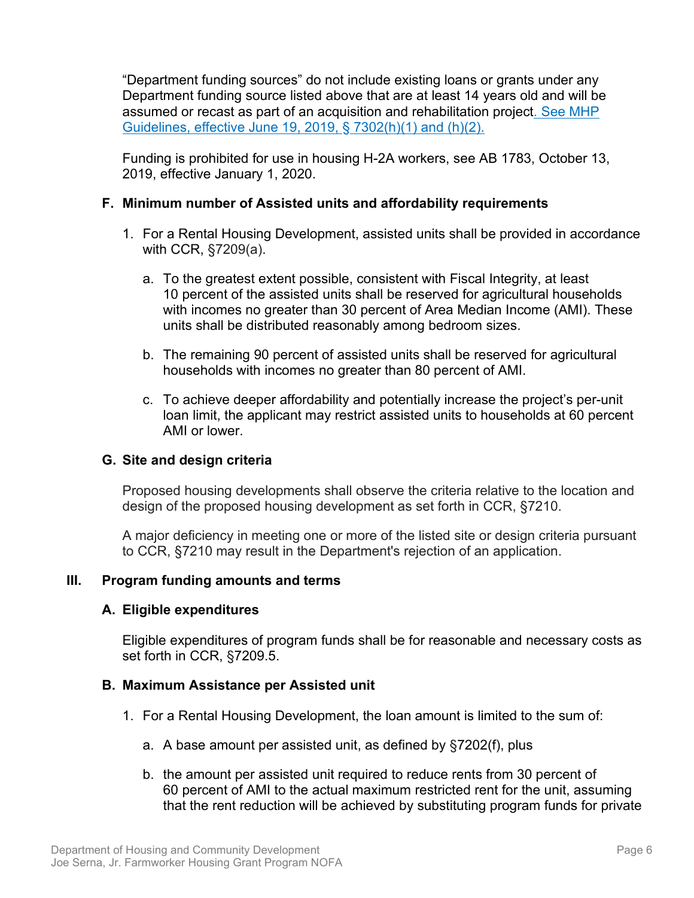"Department funding sources" do not include existing loans or grants under any Department funding source listed above that are at least 14 years old and will be assumed or recast as part of an acquisition and rehabilitation project. See MHP Guidelines, effective June 19, 2019, § 7302(h)(1) and (h)(2).

Funding is prohibited for use in housing H-2A workers, see AB 1783, October 13, 2019, effective January 1, 2020.

#### <span id="page-9-0"></span>**F. Minimum number of Assisted units and affordability requirements**

- 1. For a Rental Housing Development, assisted units shall be provided in accordance with CCR, §7209(a).
	- a. To the greatest extent possible, consistent with Fiscal Integrity, at least 10 percent of the assisted units shall be reserved for agricultural households with incomes no greater than 30 percent of Area Median Income (AMI). These units shall be distributed reasonably among bedroom sizes.
	- b. The remaining 90 percent of assisted units shall be reserved for agricultural households with incomes no greater than 80 percent of AMI.
	- c. To achieve deeper affordability and potentially increase the project's per-unit loan limit, the applicant may restrict assisted units to households at 60 percent AMI or lower.

#### <span id="page-9-1"></span>**G. Site and design criteria**

Proposed housing developments shall observe the criteria relative to the location and design of the proposed housing development as set forth in CCR, §7210.

A major deficiency in meeting one or more of the listed site or design criteria pursuant to CCR, §7210 may result in the Department's rejection of an application.

#### <span id="page-9-2"></span>**III. Program funding amounts and terms**

#### <span id="page-9-3"></span>**A. Eligible expenditures**

Eligible expenditures of program funds shall be for reasonable and necessary costs as set forth in CCR, §7209.5.

#### <span id="page-9-4"></span>**B. Maximum Assistance per Assisted unit**

- 1. For a Rental Housing Development, the loan amount is limited to the sum of:
	- a. A base amount per assisted unit, as defined by §7202(f), plus
	- b. the amount per assisted unit required to reduce rents from 30 percent of 60 percent of AMI to the actual maximum restricted rent for the unit, assuming that the rent reduction will be achieved by substituting program funds for private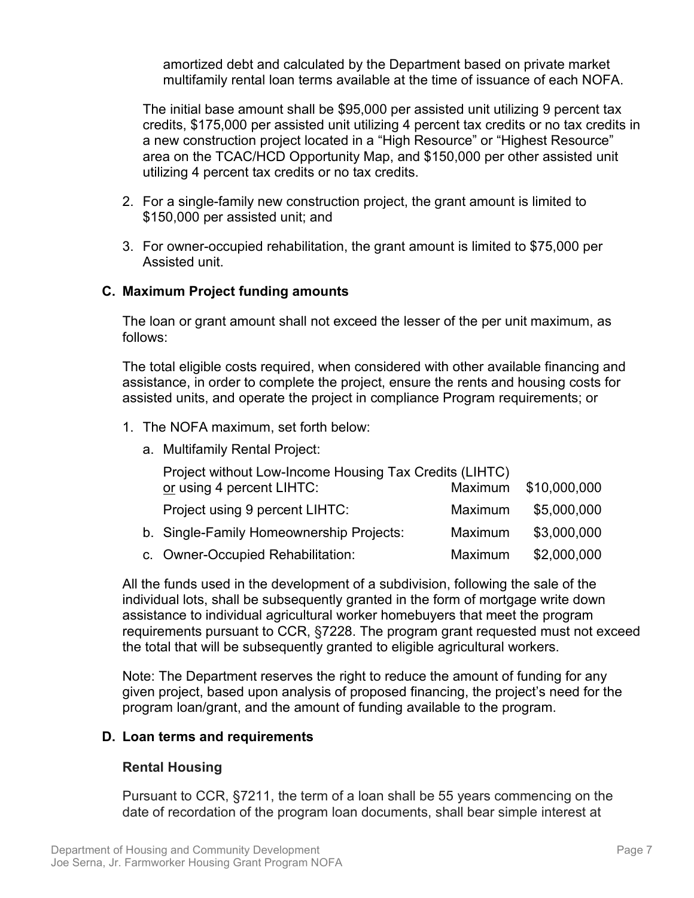amortized debt and calculated by the Department based on private market multifamily rental loan terms available at the time of issuance of each NOFA.

The initial base amount shall be \$95,000 per assisted unit utilizing 9 percent tax credits, \$175,000 per assisted unit utilizing 4 percent tax credits or no tax credits in a new construction project located in a "High Resource" or "Highest Resource" area on the TCAC/HCD Opportunity Map, and \$150,000 per other assisted unit utilizing 4 percent tax credits or no tax credits.

- 2. For a single-family new construction project, the grant amount is limited to \$150,000 per assisted unit; and
- 3. For owner-occupied rehabilitation, the grant amount is limited to \$75,000 per Assisted unit.

#### <span id="page-10-0"></span>**C. Maximum Project funding amounts**

The loan or grant amount shall not exceed the lesser of the per unit maximum, as follows:

The total eligible costs required, when considered with other available financing and assistance, in order to complete the project, ensure the rents and housing costs for assisted units, and operate the project in compliance Program requirements; or

- 1. The NOFA maximum, set forth below:
	- a. Multifamily Rental Project:

| Project without Low-Income Housing Tax Credits (LIHTC) |         |              |
|--------------------------------------------------------|---------|--------------|
| or using 4 percent LIHTC:                              | Maximum | \$10,000,000 |
| Project using 9 percent LIHTC:                         | Maximum | \$5,000,000  |
| b. Single-Family Homeownership Projects:               | Maximum | \$3,000,000  |
| c. Owner-Occupied Rehabilitation:                      | Maximum | \$2,000,000  |

All the funds used in the development of a subdivision, following the sale of the individual lots, shall be subsequently granted in the form of mortgage write down assistance to individual agricultural worker homebuyers that meet the program requirements pursuant to CCR, §7228. The program grant requested must not exceed the total that will be subsequently granted to eligible agricultural workers.

Note: The Department reserves the right to reduce the amount of funding for any given project, based upon analysis of proposed financing, the project's need for the program loan/grant, and the amount of funding available to the program.

#### <span id="page-10-1"></span>**D. Loan terms and requirements**

#### **Rental Housing**

Pursuant to CCR, §7211, the term of a loan shall be 55 years commencing on the date of recordation of the program loan documents, shall bear simple interest at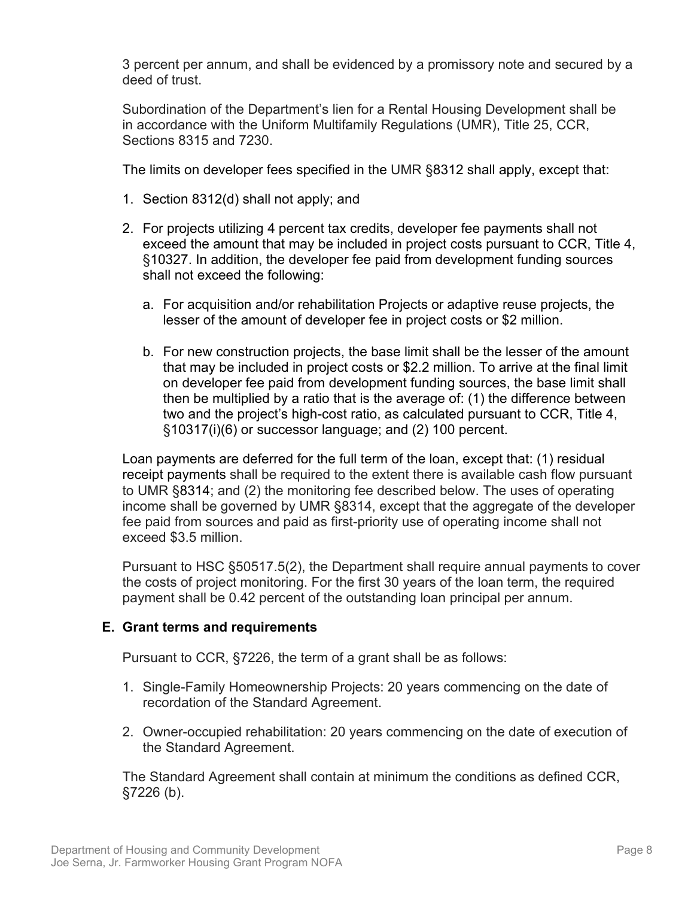3 percent per annum, and shall be evidenced by a promissory note and secured by a deed of trust.

Subordination of the Department's lien for a Rental Housing Development shall be in accordance with the Uniform Multifamily Regulations (UMR), Title 25, CCR, Sections 8315 and 7230.

The limits on developer fees specified in the UMR §8312 shall apply, except that:

- 1. Section 8312(d) shall not apply; and
- 2. For projects utilizing 4 percent tax credits, developer fee payments shall not exceed the amount that may be included in project costs pursuant to CCR, Title 4, §10327. In addition, the developer fee paid from development funding sources shall not exceed the following:
	- a. For acquisition and/or rehabilitation Projects or adaptive reuse projects, the lesser of the amount of developer fee in project costs or \$2 million.
	- b. For new construction projects, the base limit shall be the lesser of the amount that may be included in project costs or \$2.2 million. To arrive at the final limit on developer fee paid from development funding sources, the base limit shall then be multiplied by a ratio that is the average of: (1) the difference between two and the project's high-cost ratio, as calculated pursuant to CCR, Title 4, §10317(i)(6) or successor language; and (2) 100 percent.

Loan payments are deferred for the full term of the loan, except that: (1) residual receipt payments shall be required to the extent there is available cash flow pursuant to UMR [§8314;](https://govt.westlaw.com/calregs/Document/I8B551560AF804D86AF1F6053C25E36A3?originationContext=Search+Result&listSource=Search&viewType=FullText&navigationPath=Search%2fv3%2fsearch%2fresults%2fnavigation%2fi0ad7140a0000016a12ba28c1c31c4242%3fstartIndex%3d1%26Nav%3dREGULATION_PUBLICVIEW%26contextData%3d(sc.Default)&rank=1&list=REGULATION_PUBLICVIEW&transitionType=SearchItem&contextData=(sc.Search)&t_T1=25&t_T2=8314&t_S1=CA+ADC+s) and (2) the monitoring fee described below. The uses of operating income shall be governed by UMR §8314, except that the aggregate of the developer fee paid from sources and paid as first-priority use of operating income shall not exceed \$3.5 million.

<span id="page-11-0"></span>Pursuant to HSC §50517.5(2), the Department shall require annual payments to cover the costs of project monitoring. For the first 30 years of the loan term, the required payment shall be 0.42 percent of the outstanding loan principal per annum.

# **E. Grant terms and requirements**

Pursuant to CCR, §7226, the term of a grant shall be as follows:

- 1. Single-Family Homeownership Projects: 20 years commencing on the date of recordation of the Standard Agreement.
- 2. Owner-occupied rehabilitation: 20 years commencing on the date of execution of the Standard Agreement.

The Standard Agreement shall contain at minimum the conditions as defined CCR, §7226 (b).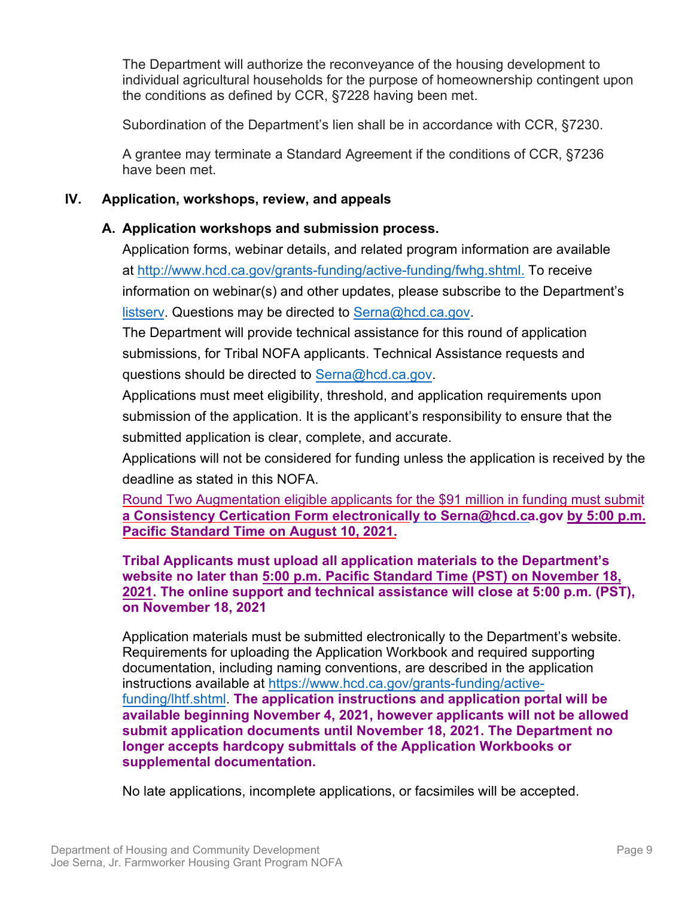The Department will authorize the reconveyance of the housing development to individual agricultural households for the purpose of homeownership contingent upon the conditions as defined by CCR, §7228 having been met.

Subordination of the Department's lien shall be in accordance with CCR, §7230.

A grantee may terminate a Standard Agreement if the conditions of CCR, §7236 have been met.

# <span id="page-12-0"></span>**IV. Application, workshops, review, and appeals**

# <span id="page-12-1"></span>**A. Application workshops and submission process.**

Application forms, webinar details, and related program information are available at [http://www.hcd.ca.gov/grants-funding/active-funding/fwhg.shtml.](http://www.hcd.ca.gov/grants-funding/active-funding/fwhg.shtml) To receive information on webinar(s) and other updates, please subscribe to the Department's [listserv.](http://www.hcd.ca.gov/HCD_SSI/subscribe-form.html) Questions may be directed to [Serna@hcd.ca.gov.](mailto:Serna@hcd.ca.gov)

The Department will provide technical assistance for this round of application submissions, for Tribal NOFA applicants. Technical Assistance requests and questions should be directed to [Serna@hcd.ca.gov.](mailto:Serna@hcd.ca.gov)

Applications must meet eligibility, threshold, and application requirements upon submission of the application. It is the applicant's responsibility to ensure that the submitted application is clear, complete, and accurate.

Applications will not be considered for funding unless the application is received by the deadline as stated in this NOFA.

Round Two Augmentation eligible applicants for the \$91 million in funding must submit **a Consistency Certication Form electronically to [Serna@hcd.ca.gov](mailto:Serna@hcd.ca.gov) by 5:00 p.m. Pacific Standard Time on August 10, 2021.** 

**Tribal Applicants must upload all application materials to the Department's website no later than 5:00 p.m. Pacific Standard Time (PST) on November 18, 2021. The online support and technical assistance will close at 5:00 p.m. (PST), on November 18, 2021**

Application materials must be submitted electronically to the Department's website. Requirements for uploading the Application Workbook and required supporting documentation, including naming conventions, are described in the application instructions available at [https://www.hcd.ca.gov/grants-funding/active](https://www.hcd.ca.gov/grants-funding/active-funding/lhtf.shtml)[funding/lhtf.shtml.](https://www.hcd.ca.gov/grants-funding/active-funding/lhtf.shtml) **The application instructions and application portal will be available beginning November 4, 2021, however applicants will not be allowed submit application documents until November 18, 2021. The Department no longer accepts hardcopy submittals of the Application Workbooks or supplemental documentation.**

No late applications, incomplete applications, or facsimiles will be accepted.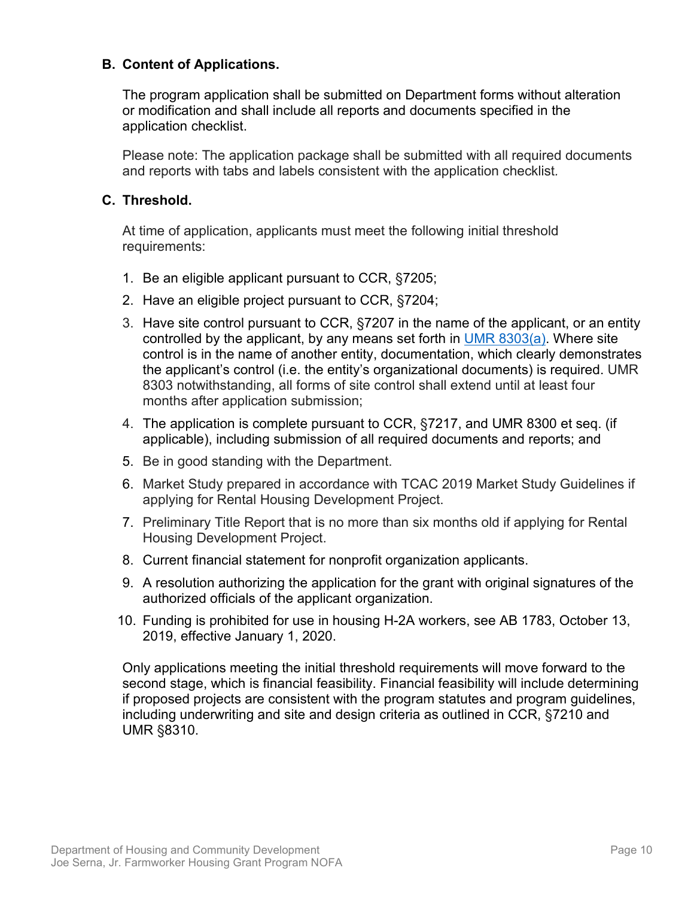#### <span id="page-13-0"></span>**B. Content of Applications.**

The program application shall be submitted on Department forms without alteration or modification and shall include all reports and documents specified in the application checklist.

Please note: The application package shall be submitted with all required documents and reports with tabs and labels consistent with the application checklist*.*

#### <span id="page-13-1"></span>**C. Threshold.**

At time of application, applicants must meet the following initial threshold requirements:

- 1. Be an eligible applicant pursuant to CCR, §7205;
- 2. Have an eligible project pursuant to CCR, §7204;
- 3. Have site control pursuant to CCR, §7207 in the name of the applicant, or an entity controlled by the applicant, by any means set forth in UMR 8303(a). Where site control is in the name of another entity, documentation, which clearly demonstrates the applicant's control (i.e. the entity's organizational documents) is required. UMR 8303 notwithstanding, all forms of site control shall extend until at least four months after application submission;
- 4. The application is complete pursuant to CCR, §7217, and UMR 8300 et seq. (if applicable), including submission of all required documents and reports; and
- 5. Be in good standing with the Department.
- 6. Market Study prepared in accordance with TCAC 2019 Market Study Guidelines if applying for Rental Housing Development Project.
- 7. Preliminary Title Report that is no more than six months old if applying for Rental Housing Development Project.
- 8. Current financial statement for nonprofit organization applicants.
- 9. A resolution authorizing the application for the grant with original signatures of the authorized officials of the applicant organization.
- 10. Funding is prohibited for use in housing H-2A workers, see AB 1783, October 13, 2019, effective January 1, 2020.

Only applications meeting the initial threshold requirements will move forward to the second stage, which is financial feasibility. Financial feasibility will include determining if proposed projects are consistent with the program statutes and program guidelines, including underwriting and site and design criteria as outlined in CCR, §7210 and UMR §8310.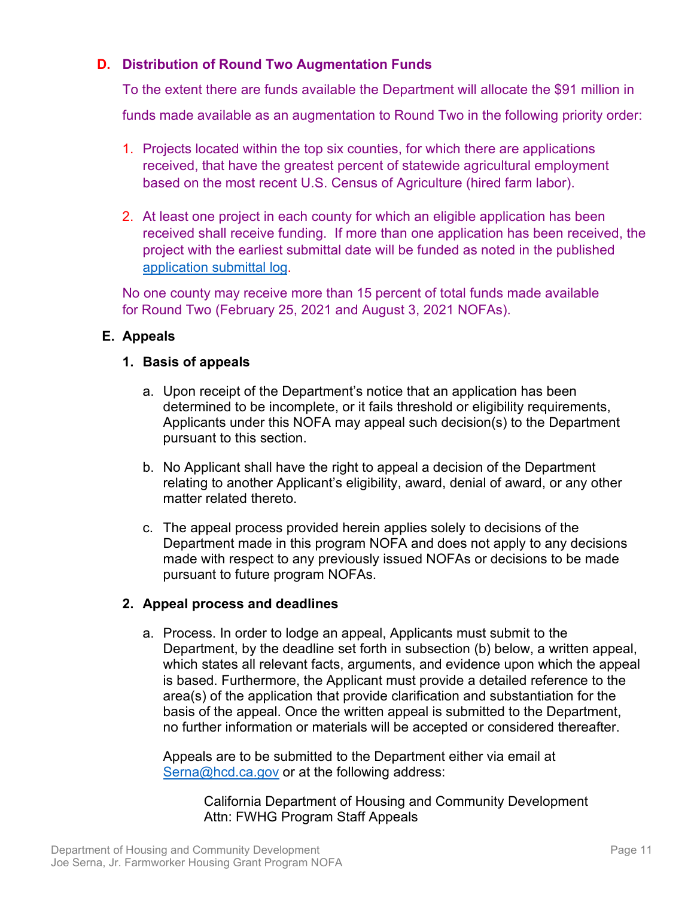# <span id="page-14-0"></span>**D. Distribution of Round Two Augmentation Funds**

To the extent there are funds available the Department will allocate the \$91 million in

funds made available as an augmentation to Round Two in the following priority order:

- 1. Projects located within the top six counties, for which there are applications received, that have the greatest percent of statewide agricultural employment based on the most recent U.S. Census of Agriculture (hired farm labor).
- 2. At least one project in each county for which an eligible application has been received shall receive funding. If more than one application has been received, the project with the earliest submittal date will be funded as noted in the published application [submittal log.](https://www.hcd.ca.gov/grants-funding/active-funding/fwhg/docs/2021-serna-nofa-applications-received.pdf)

No one county may receive more than 15 percent of total funds made available for Round Two (February 25, 2021 and August 3, 2021 NOFAs).

# **E. Appeals**

# **1. Basis of appeals**

- a. Upon receipt of the Department's notice that an application has been determined to be incomplete, or it fails threshold or eligibility requirements, Applicants under this NOFA may appeal such decision(s) to the Department pursuant to this section.
- b. No Applicant shall have the right to appeal a decision of the Department relating to another Applicant's eligibility, award, denial of award, or any other matter related thereto.
- c. The appeal process provided herein applies solely to decisions of the Department made in this program NOFA and does not apply to any decisions made with respect to any previously issued NOFAs or decisions to be made pursuant to future program NOFAs.

# **2. Appeal process and deadlines**

a. Process. In order to lodge an appeal, Applicants must submit to the Department, by the deadline set forth in subsection (b) below, a written appeal, which states all relevant facts, arguments, and evidence upon which the appeal is based. Furthermore, the Applicant must provide a detailed reference to the area(s) of the application that provide clarification and substantiation for the basis of the appeal. Once the written appeal is submitted to the Department, no further information or materials will be accepted or considered thereafter.

Appeals are to be submitted to the Department either via email at [Serna@hcd.ca.gov](mailto:Serna@hcd.ca.gov) or at the following address:

> California Department of Housing and Community Development Attn: FWHG Program Staff Appeals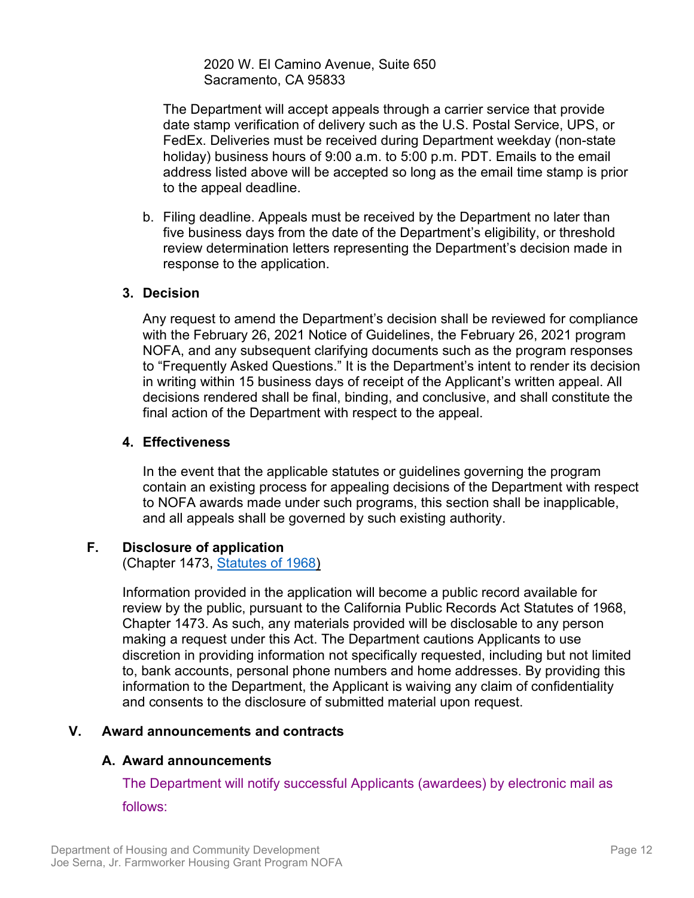2020 W. El Camino Avenue, Suite 650 Sacramento, CA 95833

The Department will accept appeals through a carrier service that provide date stamp verification of delivery such as the U.S. Postal Service, UPS, or FedEx. Deliveries must be received during Department weekday (non-state holiday) business hours of 9:00 a.m. to 5:00 p.m. PDT. Emails to the email address listed above will be accepted so long as the email time stamp is prior to the appeal deadline.

b. Filing deadline. Appeals must be received by the Department no later than five business days from the date of the Department's eligibility, or threshold review determination letters representing the Department's decision made in response to the application.

#### **3. Decision**

Any request to amend the Department's decision shall be reviewed for compliance with the February 26, 2021 Notice of Guidelines, the February 26, 2021 program NOFA, and any subsequent clarifying documents such as the program responses to "Frequently Asked Questions." It is the Department's intent to render its decision in writing within 15 business days of receipt of the Applicant's written appeal. All decisions rendered shall be final, binding, and conclusive, and shall constitute the final action of the Department with respect to the appeal.

#### **4. Effectiveness**

In the event that the applicable statutes or guidelines governing the program contain an existing process for appealing decisions of the Department with respect to NOFA awards made under such programs, this section shall be inapplicable, and all appeals shall be governed by such existing authority.

#### <span id="page-15-0"></span>**F. Disclosure of application**

(Chapter 1473, [Statutes of 1968\)](https://leginfo.legislature.ca.gov/faces/codes_displayText.xhtml?division=7.&chapter=3.5.&lawCode=GOV&title=1.&article=1)

Information provided in the application will become a public record available for review by the public, pursuant to the California Public Records Act Statutes of 1968, Chapter 1473. As such, any materials provided will be disclosable to any person making a request under this Act. The Department cautions Applicants to use discretion in providing information not specifically requested, including but not limited to, bank accounts, personal phone numbers and home addresses. By providing this information to the Department, the Applicant is waiving any claim of confidentiality and consents to the disclosure of submitted material upon request.

#### <span id="page-15-1"></span>**V. Award announcements and contracts**

#### <span id="page-15-2"></span>**A. Award announcements**

The Department will notify successful Applicants (awardees) by electronic mail as follows: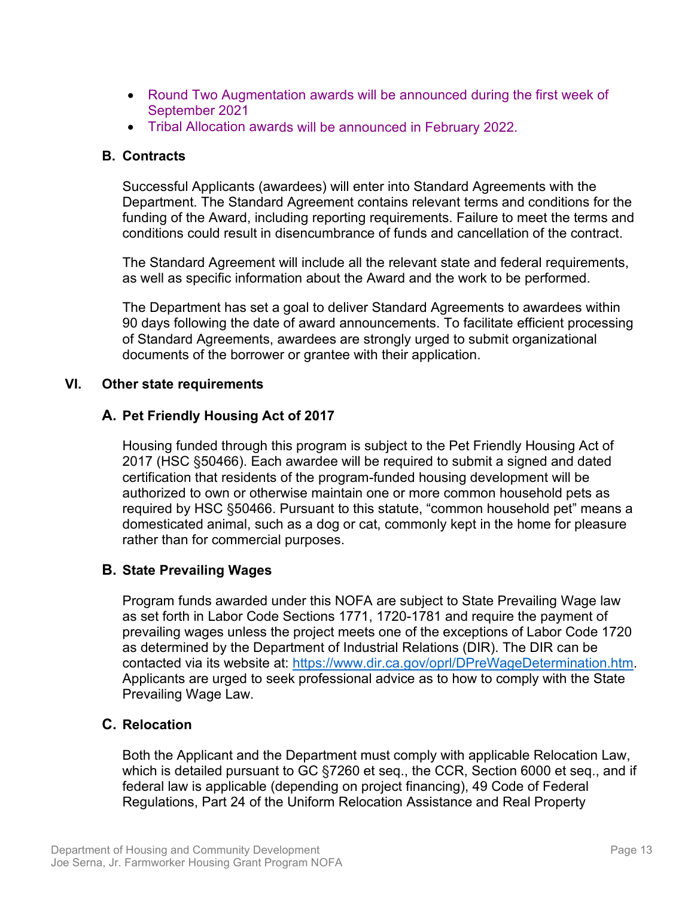- Round Two Augmentation awards will be announced during the first week of September 2021
- Tribal Allocation awards will be announced in February 2022.

#### <span id="page-16-0"></span>**B. Contracts**

Successful Applicants (awardees) will enter into Standard Agreements with the Department. The Standard Agreement contains relevant terms and conditions for the funding of the Award, including reporting requirements. Failure to meet the terms and conditions could result in disencumbrance of funds and cancellation of the contract.

The Standard Agreement will include all the relevant state and federal requirements, as well as specific information about the Award and the work to be performed.

The Department has set a goal to deliver Standard Agreements to awardees within 90 days following the date of award announcements. To facilitate efficient processing of Standard Agreements, awardees are strongly urged to submit organizational documents of the borrower or grantee with their application.

#### <span id="page-16-1"></span>**VI. Other state requirements**

# <span id="page-16-2"></span>**A. Pet Friendly Housing Act of 2017**

Housing funded through this program is subject to the Pet Friendly Housing Act of 2017 (HSC §50466). Each awardee will be required to submit a signed and dated certification that residents of the program-funded housing development will be authorized to own or otherwise maintain one or more common household pets as required by HSC §50466. Pursuant to this statute, "common household pet" means a domesticated animal, such as a dog or cat, commonly kept in the home for pleasure rather than for commercial purposes.

# <span id="page-16-3"></span>**B. State Prevailing Wages**

Program funds awarded under this NOFA are subject to State Prevailing Wage law as set forth in Labor Code Sections 1771, 1720-1781 and require the payment of prevailing wages unless the project meets one of the exceptions of Labor Code 1720 as determined by the Department of Industrial Relations (DIR). The DIR can be contacted via its website at: [https://www.dir.ca.gov/oprl/DPreWageDetermination.htm.](https://www.dir.ca.gov/oprl/DPreWageDetermination.htm) Applicants are urged to seek professional advice as to how to comply with the State Prevailing Wage Law.

# <span id="page-16-4"></span>**C. Relocation**

Both the Applicant and the Department must comply with applicable Relocation Law, which is detailed pursuant to GC §7260 et seq., the CCR, Section 6000 et seq., and if federal law is applicable (depending on project financing), 49 Code of Federal Regulations, Part 24 of the Uniform Relocation Assistance and Real Property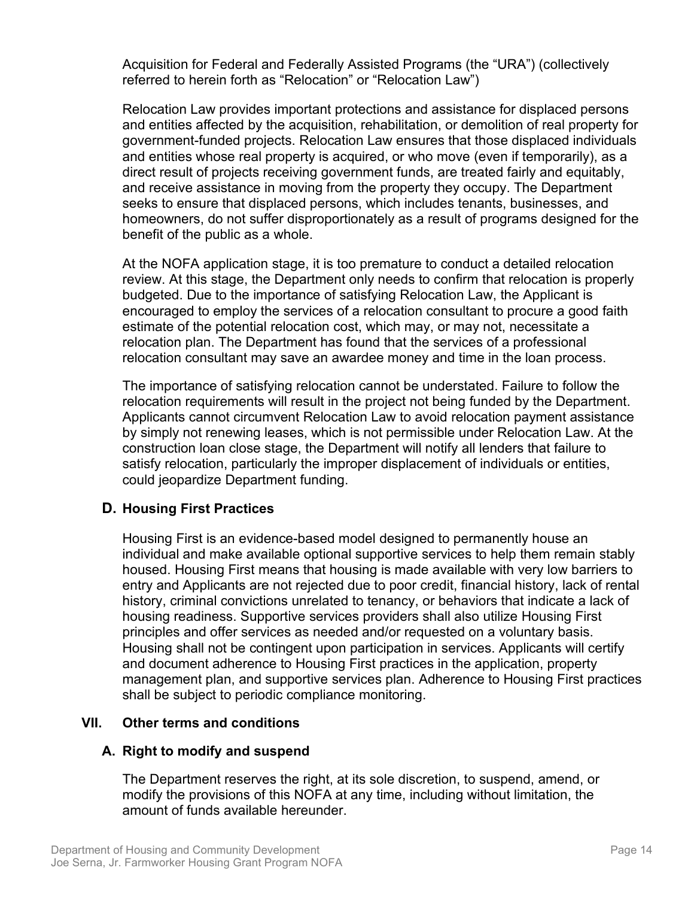Acquisition for Federal and Federally Assisted Programs (the "URA") (collectively referred to herein forth as "Relocation" or "Relocation Law")

Relocation Law provides important protections and assistance for displaced persons and entities affected by the acquisition, rehabilitation, or demolition of real property for government-funded projects. Relocation Law ensures that those displaced individuals and entities whose real property is acquired, or who move (even if temporarily), as a direct result of projects receiving government funds, are treated fairly and equitably, and receive assistance in moving from the property they occupy. The Department seeks to ensure that displaced persons, which includes tenants, businesses, and homeowners, do not suffer disproportionately as a result of programs designed for the benefit of the public as a whole.

At the NOFA application stage, it is too premature to conduct a detailed relocation review. At this stage, the Department only needs to confirm that relocation is properly budgeted. Due to the importance of satisfying Relocation Law, the Applicant is encouraged to employ the services of a relocation consultant to procure a good faith estimate of the potential relocation cost, which may, or may not, necessitate a relocation plan. The Department has found that the services of a professional relocation consultant may save an awardee money and time in the loan process.

The importance of satisfying relocation cannot be understated. Failure to follow the relocation requirements will result in the project not being funded by the Department. Applicants cannot circumvent Relocation Law to avoid relocation payment assistance by simply not renewing leases, which is not permissible under Relocation Law. At the construction loan close stage, the Department will notify all lenders that failure to satisfy relocation, particularly the improper displacement of individuals or entities, could jeopardize Department funding.

# **D. Housing First Practices**

Housing First is an evidence-based model designed to permanently house an individual and make available optional supportive services to help them remain stably housed. Housing First means that housing is made available with very low barriers to entry and Applicants are not rejected due to poor credit, financial history, lack of rental history, criminal convictions unrelated to tenancy, or behaviors that indicate a lack of housing readiness. Supportive services providers shall also utilize Housing First principles and offer services as needed and/or requested on a voluntary basis. Housing shall not be contingent upon participation in services. Applicants will certify and document adherence to Housing First practices in the application, property management plan, and supportive services plan. Adherence to Housing First practices shall be subject to periodic compliance monitoring.

# <span id="page-17-0"></span>**VII. Other terms and conditions**

# <span id="page-17-1"></span>**A. Right to modify and suspend**

The Department reserves the right, at its sole discretion, to suspend, amend, or modify the provisions of this NOFA at any time, including without limitation, the amount of funds available hereunder.